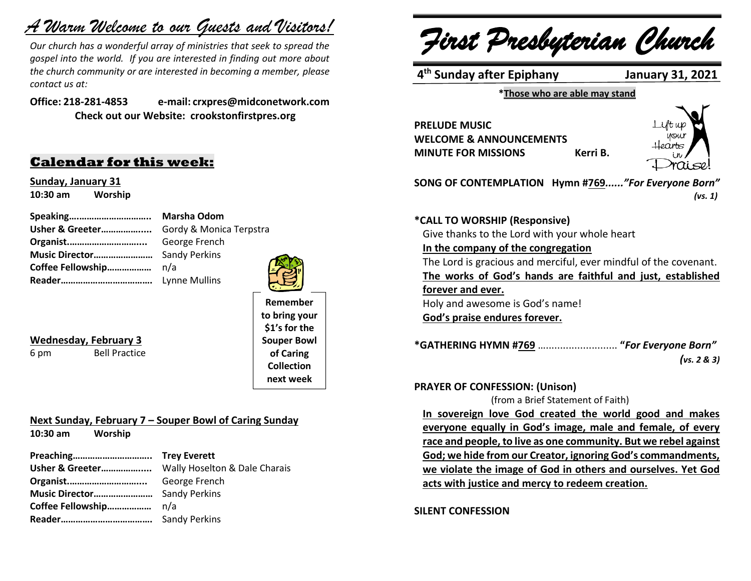# *A Warm Welcome to our Guests and Visitors!*

*Our church has a wonderful array of ministries that seek to spread the gospel into the world. If you are interested in finding out more about the church community or are interested in becoming a member, please contact us at:*

**Office: 218-281-4853 e-mail: crxpres@midconetwork.com Check out our Website: crookstonfirstpres.org**

## **Calendar for this week:**

**Sunday, January 31 10:30 am Worship** 

| Usher & Greeter Gordy & Monica Terpstra |  |
|-----------------------------------------|--|
|                                         |  |
|                                         |  |
|                                         |  |
|                                         |  |



**Wednesday, February 3**

6 pm Bell Practice

**Remember to bring your \$1's for the Souper Bowl of Caring Collection next week**

### **Next Sunday, February 7 – Souper Bowl of Caring Sunday**

**10:30 am Worship** 

| Preaching Trey Everett |  |
|------------------------|--|
|                        |  |
|                        |  |
|                        |  |
|                        |  |
|                        |  |
|                        |  |

*First Presbyterian Church*

**4 th Sunday after Epiphany January 31, 2021**

**\*Those who are able may stand**

**PRELUDE MUSIC WELCOME & ANNOUNCEMENTS MINUTE FOR MISSIONS Kerri B.**



**SONG OF CONTEMPLATION Hymn #769***......"For Everyone Born"* *(vs. 1)*

### **\*CALL TO WORSHIP (Responsive)**

Give thanks to the Lord with your whole heart

**In the company of the congregation**

The Lord is gracious and merciful, ever mindful of the covenant. **The works of God's hands are faithful and just, established forever and ever.** Holy and awesome is God's name! **God's praise endures forever.**

**\*GATHERING HYMN #769** …......................... **"***For Everyone Born"* *(vs. 2 & 3)*

### **PRAYER OF CONFESSION: (Unison)**

(from a Brief Statement of Faith) **In sovereign love God created the world good and makes everyone equally in God's image, male and female, of every race and people, to live as one community. But we rebel against God; we hide from our Creator, ignoring God's commandments, we violate the image of God in others and ourselves. Yet God acts with justice and mercy to redeem creation.**

**SILENT CONFESSION**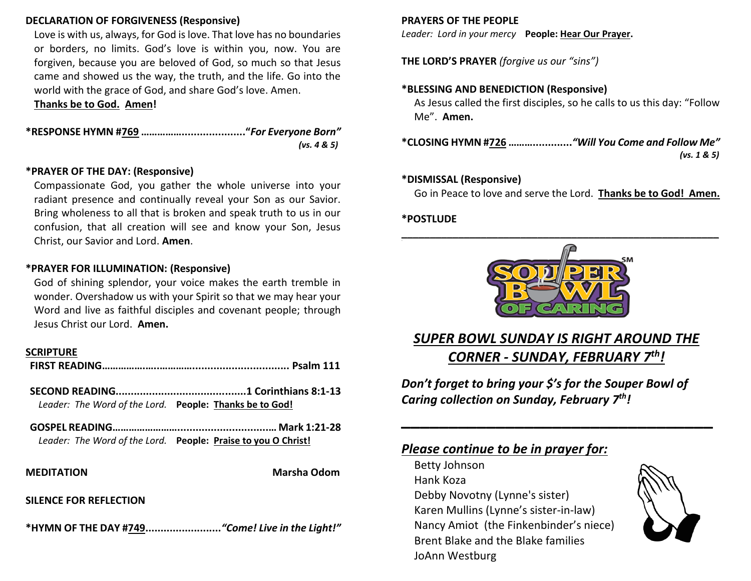### **DECLARATION OF FORGIVENESS (Responsive)**

Love is with us, always, for God is love. That love has no boundaries or borders, no limits. God's love is within you, now. You are forgiven, because you are beloved of God, so much so that Jesus came and showed us the way, the truth, and the life. Go into the world with the grace of God, and share God's love. Amen.

**Thanks be to God. Amen!**

| (vs. 4 $85$ ) |
|---------------|

### **\*PRAYER OF THE DAY: (Responsive)**

Compassionate God, you gather the whole universe into your radiant presence and continually reveal your Son as our Savior. Bring wholeness to all that is broken and speak truth to us in our confusion, that all creation will see and know your Son, Jesus Christ, our Savior and Lord. **Amen**.

### **\*PRAYER FOR ILLUMINATION: (Responsive)**

God of shining splendor, your voice makes the earth tremble in wonder. Overshadow us with your Spirit so that we may hear your Word and live as faithful disciples and covenant people; through Jesus Christ our Lord. **Amen.**

### **SCRIPTURE**

| Leader: The Word of the Lord. People: Thanks be to God! |                                                               |
|---------------------------------------------------------|---------------------------------------------------------------|
|                                                         | Leader: The Word of the Lord. People: Praise to you O Christ! |
| <b>MEDITATION</b>                                       | <b>Marsha Odom</b>                                            |
| SILENCE FOR REFLECTION                                  |                                                               |

**\*HYMN OF THE DAY #749.........................***"Come! Live in the Light!"*

#### **PRAYERS OF THE PEOPLE**

*Leader: Lord in your mercy* **People: Hear Our Prayer.**

**THE LORD'S PRAYER** *(forgive us our "sins")* 

### **\*BLESSING AND BENEDICTION (Responsive)**

As Jesus called the first disciples, so he calls to us this day: "Follow Me". **Amen.**

**\*CLOSING HYMN #726 ……….............***"Will You Come and Follow Me"* *(vs. 1 & 5)*

#### **\*DISMISSAL (Responsive)**

Go in Peace to love and serve the Lord. **Thanks be to God! Amen.**

#### **\*POSTLUDE**



# *SUPER BOWL SUNDAY IS RIGHT AROUND THE CORNER - SUNDAY, FEBRUARY 7th!*

**\_\_\_\_\_\_\_\_\_\_\_\_\_\_\_\_\_\_\_\_\_\_\_\_\_\_\_\_\_\_\_\_\_**

*Don't forget to bring your \$'s for the Souper Bowl of Caring collection on Sunday, February 7th!*

## *Please continue to be in prayer for:*

Betty Johnson Hank Koza Debby Novotny (Lynne's sister) Karen Mullins (Lynne's sister-in-law) Nancy Amiot (the Finkenbinder's niece) Brent Blake and the Blake families JoAnn Westburg

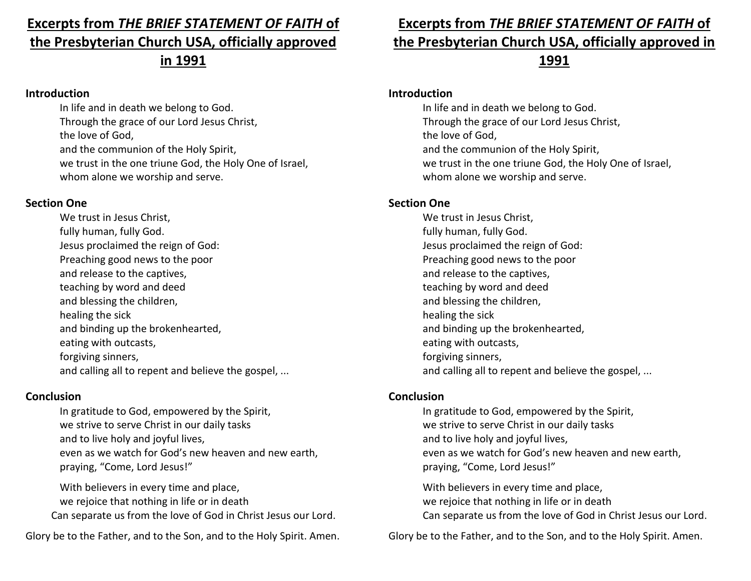# **Excerpts from** *THE BRIEF STATEMENT OF FAITH* **of the Presbyterian Church USA, officially approved in 1991**

### **Introduction**

In life and in death we belong to God. Through the grace of our Lord Jesus Christ, the love of God, and the communion of the Holy Spirit, we trust in the one triune God, the Holy One of Israel, whom alone we worship and serve.

## **Section One**

We trust in Jesus Christ, fully human, fully God. Jesus proclaimed the reign of God: Preaching good news to the poor and release to the captives, teaching by word and deed and blessing the children, healing the sick and binding up the brokenhearted, eating with outcasts, forgiving sinners, and calling all to repent and believe the gospel, ...

## **Conclusion**

In gratitude to God, empowered by the Spirit, we strive to serve Christ in our daily tasks and to live holy and joyful lives, even as we watch for God's new heaven and new earth, praying, "Come, Lord Jesus!"

With believers in every time and place, we rejoice that nothing in life or in death Can separate us from the love of God in Christ Jesus our Lord.

Glory be to the Father, and to the Son, and to the Holy Spirit. Amen.

# **Excerpts from** *THE BRIEF STATEMENT OF FAITH* **of the Presbyterian Church USA, officially approved in**

## **1991**

### **Introduction**

In life and in death we belong to God. Through the grace of our Lord Jesus Christ, the love of God, and the communion of the Holy Spirit, we trust in the one triune God, the Holy One of Israel, whom alone we worship and serve.

### **Section One**

We trust in Jesus Christ, fully human, fully God. Jesus proclaimed the reign of God: Preaching good news to the poor and release to the captives, teaching by word and deed and blessing the children, healing the sick and binding up the brokenhearted, eating with outcasts, forgiving sinners, and calling all to repent and believe the gospel, ...

### **Conclusion**

In gratitude to God, empowered by the Spirit, we strive to serve Christ in our daily tasks and to live holy and joyful lives, even as we watch for God's new heaven and new earth, praying, "Come, Lord Jesus!"

With believers in every time and place, we rejoice that nothing in life or in death Can separate us from the love of God in Christ Jesus our Lord.

Glory be to the Father, and to the Son, and to the Holy Spirit. Amen.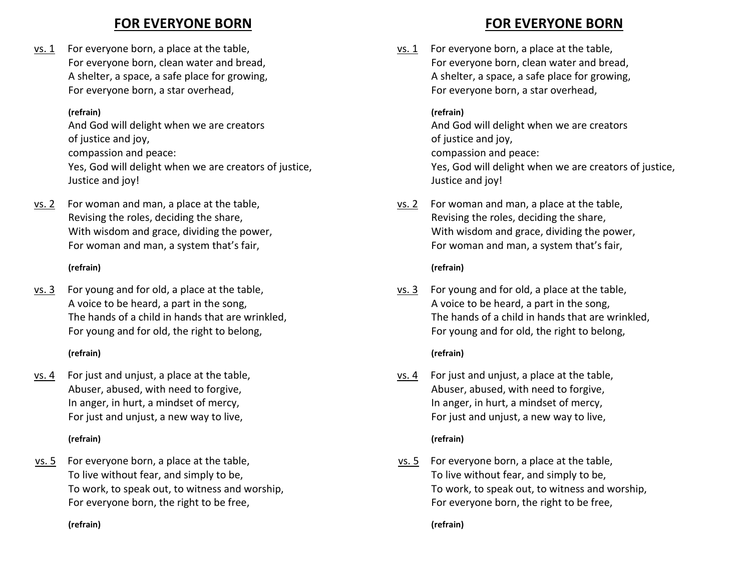# **FOR EVERYONE BORN**

vs. 1 For everyone born, a place at the table, For everyone born, clean water and bread, A shelter, a space, a safe place for growing, For everyone born, a star overhead,

### **(refrain)**

And God will delight when we are creators of justice and joy, compassion and peace: Yes, God will delight when we are creators of justice, Justice and joy!

vs. 2 For woman and man, a place at the table, Revising the roles, deciding the share, With wisdom and grace, dividing the power, For woman and man, a system that's fair,

### **(refrain)**

 $vs. 3$  For young and for old, a place at the table,</u> A voice to be heard, a part in the song, The hands of a child in hands that are wrinkled, For young and for old, the right to belong,

### **(refrain)**

vs. 4 For just and unjust, a place at the table, Abuser, abused, with need to forgive, In anger, in hurt, a mindset of mercy, For just and unjust, a new way to live,

### **(refrain)**

 vs. 5 For everyone born, a place at the table, To live without fear, and simply to be, To work, to speak out, to witness and worship, For everyone born, the right to be free,

#### **(refrain)**

# **FOR EVERYONE BORN**

vs. 1 For everyone born, a place at the table, For everyone born, clean water and bread, A shelter, a space, a safe place for growing, For everyone born, a star overhead,

### **(refrain)**

And God will delight when we are creators of justice and joy, compassion and peace: Yes, God will delight when we are creators of justice, Justice and joy!

vs. 2 For woman and man, a place at the table, Revising the roles, deciding the share, With wisdom and grace, dividing the power, For woman and man, a system that's fair,

### **(refrain)**

vs. 3 For young and for old, a place at the table, A voice to be heard, a part in the song, The hands of a child in hands that are wrinkled, For young and for old, the right to belong,

### **(refrain)**

vs. 4 For just and unjust, a place at the table, Abuser, abused, with need to forgive, In anger, in hurt, a mindset of mercy, For just and unjust, a new way to live,

### **(refrain)**

 vs. 5 For everyone born, a place at the table, To live without fear, and simply to be, To work, to speak out, to witness and worship, For everyone born, the right to be free,

#### **(refrain)**